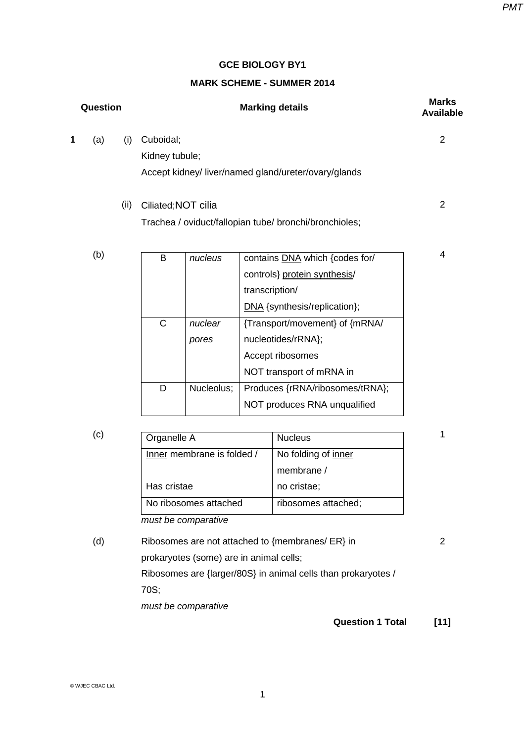### **GCE BIOLOGY BY1**

### **MARK SCHEME - SUMMER 2014**

| Question |     |      | <b>Marking details</b> |                                                        | <b>Marks</b><br><b>Available</b> |
|----------|-----|------|------------------------|--------------------------------------------------------|----------------------------------|
| 1        | (a) | (i)  | Cuboidal;              |                                                        | 2                                |
|          |     |      | Kidney tubule;         |                                                        |                                  |
|          |     |      |                        | Accept kidney/liver/named gland/ureter/ovary/glands    |                                  |
|          |     | (ii) | Ciliated; NOT cilia    |                                                        | 2                                |
|          |     |      |                        | Trachea / oviduct/fallopian tube/ bronchi/bronchioles; |                                  |
|          | (b) |      | В<br>nucleus           | contains DNA which {codes for/                         | 4                                |

|   |            | controls} protein synthesis/    |
|---|------------|---------------------------------|
|   |            | transcription/                  |
|   |            | DNA {synthesis/replication};    |
| C | nuclear    | {Transport/movement} of {mRNA/  |
|   | pores      | nucleotides/rRNA};              |
|   |            | Accept ribosomes                |
|   |            | NOT transport of mRNA in        |
| D | Nucleolus; | Produces {rRNA/ribosomes/tRNA}; |
|   |            | NOT produces RNA unqualified    |

| (c) | Organelle A                | <b>Nucleus</b>      |
|-----|----------------------------|---------------------|
|     | Inner membrane is folded / | No folding of inner |
|     |                            | membrane /          |
|     | Has cristae                | no cristae;         |
|     | No ribosomes attached      | ribosomes attached; |
|     |                            |                     |

*must be comparative*

(d) Ribosomes are not attached to {membranes/ ER} in prokaryotes (some) are in animal cells; Ribosomes are {larger/80S} in animal cells than prokaryotes / 70S; *must be comparative*

**Question 1 Total [11]**

1

2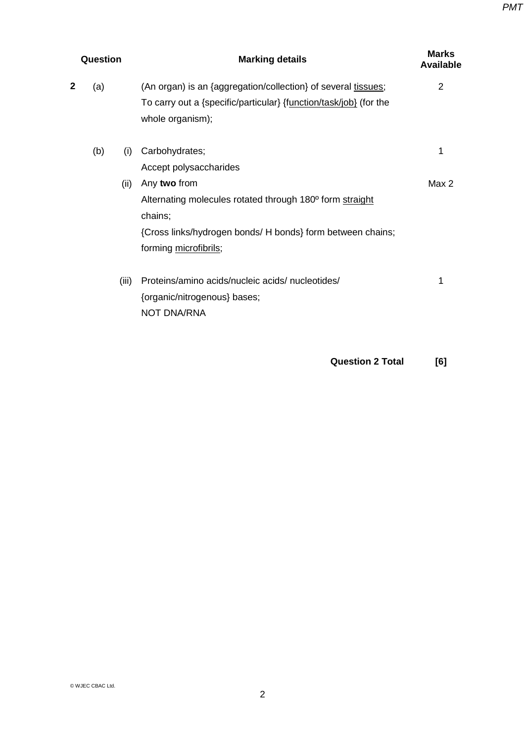| Question |     |       | <b>Marking details</b>                                                                                                                                                     | <b>Marks</b><br><b>Available</b> |
|----------|-----|-------|----------------------------------------------------------------------------------------------------------------------------------------------------------------------------|----------------------------------|
| 2        | (a) |       | (An organ) is an {aggregation/collection} of several tissues;<br>To carry out a {specific/particular} {function/task/job} (for the<br>whole organism);                     | 2                                |
|          | (b) | (i)   | Carbohydrates;<br>Accept polysaccharides                                                                                                                                   | 1                                |
|          |     | (ii)  | Any two from<br>Alternating molecules rotated through 180° form straight<br>chains;<br>{Cross links/hydrogen bonds/ H bonds} form between chains;<br>forming microfibrils; | Max 2                            |
|          |     | (iii) | Proteins/amino acids/nucleic acids/nucleotides/<br>{organic/nitrogenous} bases;<br><b>NOT DNA/RNA</b>                                                                      | 1                                |

**Question 2 Total [6]**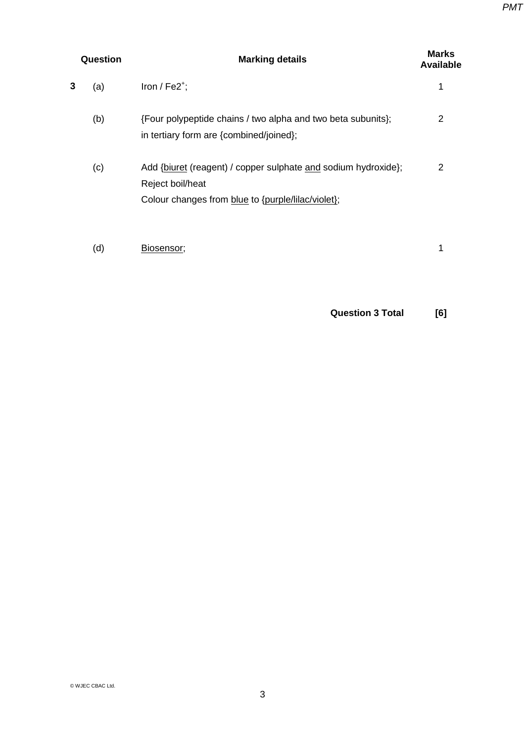| Question |     | <b>Marking details</b>                                                                                                                   |   |
|----------|-----|------------------------------------------------------------------------------------------------------------------------------------------|---|
| 3        | (a) | Iron / $Fe2^{\dagger}$ ;                                                                                                                 |   |
|          | (b) | {Four polypeptide chains / two alpha and two beta subunits};<br>in tertiary form are {combined/joined};                                  | 2 |
|          | (c) | Add {biuret (reagent) / copper sulphate and sodium hydroxide};<br>Reject boil/heat<br>Colour changes from blue to {purple/lilac/violet}; | 2 |
|          | (d) | Biosensor;                                                                                                                               |   |

**Question 3 Total [6]**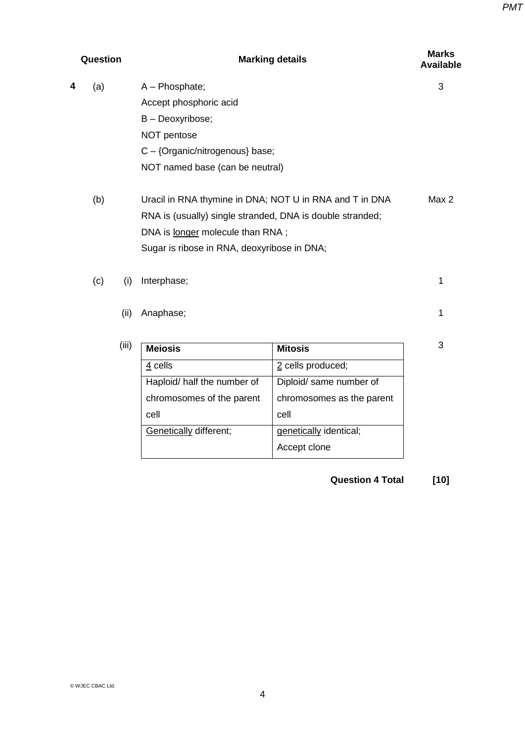| Question |     |       | <b>Marking details</b>                                    | <b>Marks</b><br><b>Available</b> |       |
|----------|-----|-------|-----------------------------------------------------------|----------------------------------|-------|
| 4        | (a) |       | A - Phosphate;                                            |                                  | 3     |
|          |     |       | Accept phosphoric acid                                    |                                  |       |
|          |     |       | B - Deoxyribose;                                          |                                  |       |
|          |     |       | NOT pentose                                               |                                  |       |
|          |     |       | C - {Organic/nitrogenous} base;                           |                                  |       |
|          |     |       | NOT named base (can be neutral)                           |                                  |       |
|          | (b) |       | Uracil in RNA thymine in DNA; NOT U in RNA and T in DNA   |                                  | Max 2 |
|          |     |       | RNA is (usually) single stranded, DNA is double stranded; |                                  |       |
|          |     |       | DNA is longer molecule than RNA;                          |                                  |       |
|          |     |       | Sugar is ribose in RNA, deoxyribose in DNA;               |                                  |       |
|          | (c) | (i)   | Interphase;                                               |                                  | 1     |
|          |     | (ii)  | Anaphase;                                                 |                                  | 1     |
|          |     | (iii) | <b>Meiosis</b>                                            | <b>Mitosis</b>                   | 3     |
|          |     |       | 4 cells                                                   | 2 cells produced;                |       |
|          |     |       | Haploid/ half the number of                               | Diploid/ same number of          |       |
|          |     |       | chromosomes of the parent                                 | chromosomes as the parent        |       |
|          |     |       | cell                                                      | cell                             |       |
|          |     |       | Genetically different;                                    | genetically identical;           |       |
|          |     |       |                                                           | Accept clone                     |       |

**Question 4 Total [10]**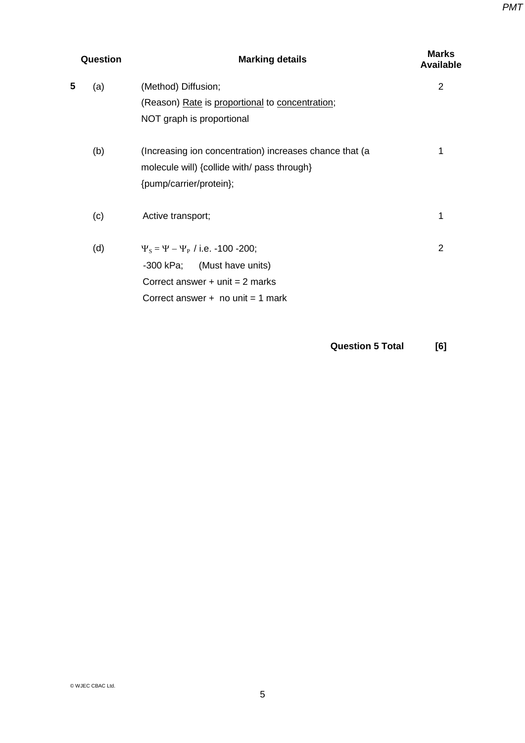|   | Question | <b>Marking details</b>                                                                                                                                  | <b>Marks</b><br><b>Available</b> |
|---|----------|---------------------------------------------------------------------------------------------------------------------------------------------------------|----------------------------------|
| 5 | (a)      | (Method) Diffusion;<br>(Reason) Rate is proportional to concentration;<br>NOT graph is proportional                                                     | 2                                |
|   | (b)      | (Increasing ion concentration) increases chance that (a<br>molecule will) {collide with/ pass through}<br>{pump/carrier/protein};                       | 1                                |
|   | (c)      | Active transport;                                                                                                                                       | 1                                |
|   | (d)      | $\Psi_s = \Psi - \Psi_P$ / i.e. -100 -200;<br>-300 kPa; (Must have units)<br>Correct answer $+$ unit = 2 marks<br>Correct answer $+$ no unit $=$ 1 mark | $\overline{2}$                   |

**Question 5 Total [6]**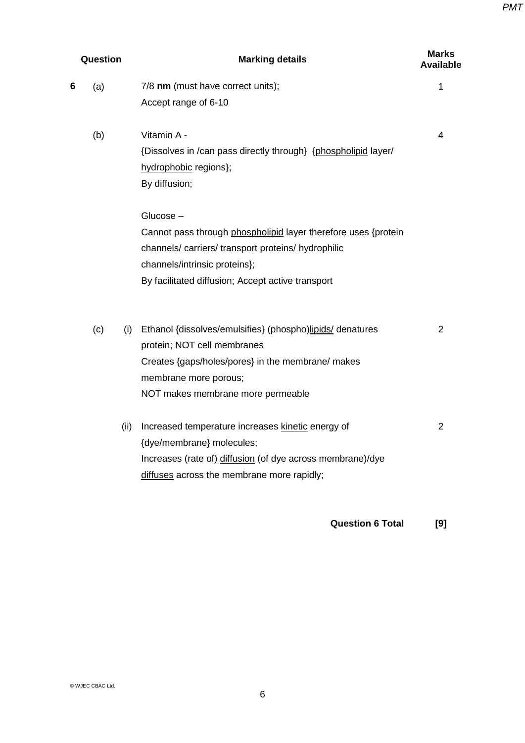| Question |     |      | <b>Marking details</b>                                         |                |  |
|----------|-----|------|----------------------------------------------------------------|----------------|--|
| 6        | (a) |      | 7/8 nm (must have correct units);                              | 1              |  |
|          |     |      | Accept range of 6-10                                           |                |  |
|          | (b) |      | Vitamin A -                                                    | 4              |  |
|          |     |      | {Dissolves in /can pass directly through} {phospholipid layer/ |                |  |
|          |     |      | hydrophobic regions};                                          |                |  |
|          |     |      | By diffusion;                                                  |                |  |
|          |     |      | Glucose-                                                       |                |  |
|          |     |      | Cannot pass through phospholipid layer therefore uses {protein |                |  |
|          |     |      | channels/carriers/transport proteins/hydrophilic               |                |  |
|          |     |      | channels/intrinsic proteins};                                  |                |  |
|          |     |      | By facilitated diffusion; Accept active transport              |                |  |
|          | (c) | (i)  | Ethanol {dissolves/emulsifies} (phospho)lipids/ denatures      | 2              |  |
|          |     |      | protein; NOT cell membranes                                    |                |  |
|          |     |      | Creates {gaps/holes/pores} in the membrane/ makes              |                |  |
|          |     |      | membrane more porous;                                          |                |  |
|          |     |      | NOT makes membrane more permeable                              |                |  |
|          |     | (ii) | Increased temperature increases kinetic energy of              | $\overline{2}$ |  |
|          |     |      | {dye/membrane} molecules;                                      |                |  |
|          |     |      | Increases (rate of) diffusion (of dye across membrane)/dye     |                |  |
|          |     |      | diffuses across the membrane more rapidly;                     |                |  |
|          |     |      |                                                                |                |  |

**Question 6 Total [9]**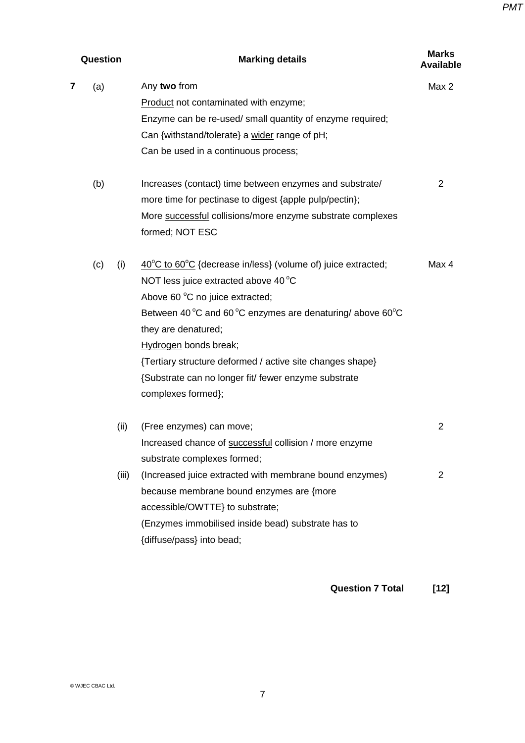| Question |     |       | <b>Marking details</b>                                                            | <b>Marks</b><br><b>Available</b> |  |
|----------|-----|-------|-----------------------------------------------------------------------------------|----------------------------------|--|
| 7        | (a) |       | Any two from                                                                      | Max 2                            |  |
|          |     |       | Product not contaminated with enzyme;                                             |                                  |  |
|          |     |       | Enzyme can be re-used/ small quantity of enzyme required;                         |                                  |  |
|          |     |       | Can {withstand/tolerate} a wider range of pH;                                     |                                  |  |
|          |     |       | Can be used in a continuous process;                                              |                                  |  |
|          | (b) |       | Increases (contact) time between enzymes and substrate/                           | $\overline{2}$                   |  |
|          |     |       | more time for pectinase to digest {apple pulp/pectin};                            |                                  |  |
|          |     |       | More successful collisions/more enzyme substrate complexes<br>formed; NOT ESC     |                                  |  |
|          | (c) | (i)   | $40^{\circ}$ C to 60 $^{\circ}$ C {decrease in/less} (volume of) juice extracted; | Max 4                            |  |
|          |     |       | NOT less juice extracted above 40 °C                                              |                                  |  |
|          |     |       | Above 60 °C no juice extracted;                                                   |                                  |  |
|          |     |       | Between 40 °C and 60 °C enzymes are denaturing/ above 60 °C                       |                                  |  |
|          |     |       | they are denatured;                                                               |                                  |  |
|          |     |       | Hydrogen bonds break;                                                             |                                  |  |
|          |     |       | {Tertiary structure deformed / active site changes shape}                         |                                  |  |
|          |     |       | {Substrate can no longer fit/ fewer enzyme substrate                              |                                  |  |
|          |     |       | complexes formed};                                                                |                                  |  |
|          |     | (ii)  | (Free enzymes) can move;                                                          | $\overline{2}$                   |  |
|          |     |       | Increased chance of successful collision / more enzyme                            |                                  |  |
|          |     |       | substrate complexes formed;                                                       |                                  |  |
|          |     | (iii) | (Increased juice extracted with membrane bound enzymes)                           | $\overline{2}$                   |  |
|          |     |       | because membrane bound enzymes are {more                                          |                                  |  |
|          |     |       | accessible/OWTTE} to substrate;                                                   |                                  |  |
|          |     |       | (Enzymes immobilised inside bead) substrate has to                                |                                  |  |
|          |     |       | {diffuse/pass} into bead;                                                         |                                  |  |
|          |     |       |                                                                                   |                                  |  |
|          |     |       |                                                                                   |                                  |  |

## **Question 7 Total [12]**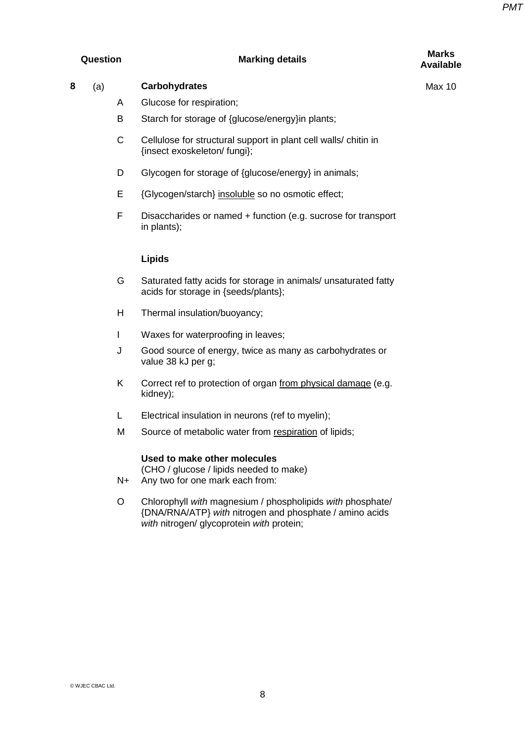# **Question Marking details Marks**

# **Available**

| 8<br>(a) | <b>Carbohydrates</b> |
|----------|----------------------|
|----------|----------------------|

- A Glucose for respiration;
- B Starch for storage of {glucose/energy}in plants;
- C Cellulose for structural support in plant cell walls/ chitin in {insect exoskeleton/ fungi};
- D Glycogen for storage of {glucose/energy} in animals;
- E {Glycogen/starch} insoluble so no osmotic effect;
- F Disaccharides or named + function (e.g. sucrose for transport in plants);

### **Lipids**

- G Saturated fatty acids for storage in animals/ unsaturated fatty acids for storage in {seeds/plants};
- H Thermal insulation/buoyancy;
- I Waxes for waterproofing in leaves;
- J Good source of energy, twice as many as carbohydrates or value 38 kJ per g;
- K Correct ref to protection of organ from physical damage (e.g. kidney);
- L Electrical insulation in neurons (ref to myelin);
- M Source of metabolic water from respiration of lipids;

### **Used to make other molecules**

(CHO / glucose / lipids needed to make)

- N+ Any two for one mark each from:
- O Chlorophyll *with* magnesium / phospholipids *with* phosphate/ {DNA/RNA/ATP} *with* nitrogen and phosphate / amino acids *with* nitrogen/ glycoprotein *with* protein;

Max 10